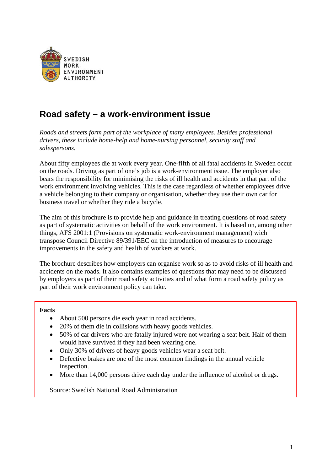

# **Road safety – a work-environment issue**

*Roads and streets form part of the workplace of many employees. Besides professional drivers, these include home-help and home-nursing personnel, security staff and salespersons.* 

About fifty employees die at work every year. One-fifth of all fatal accidents in Sweden occur on the roads. Driving as part of one's job is a work-environment issue. The employer also bears the responsibility for minimising the risks of ill health and accidents in that part of the work environment involving vehicles. This is the case regardless of whether employees drive a vehicle belonging to their company or organisation, whether they use their own car for business travel or whether they ride a bicycle.

The aim of this brochure is to provide help and guidance in treating questions of road safety as part of systematic activities on behalf of the work environment. It is based on, among other things, AFS 2001:1 (Provisions on systematic work-environment management) wich transpose Council Directive 89/391/EEC on the introduction of measures to encourage improvements in the safety and health of workers at work.

The brochure describes how employers can organise work so as to avoid risks of ill health and accidents on the roads. It also contains examples of questions that may need to be discussed by employers as part of their road safety activities and of what form a road safety policy as part of their work environment policy can take.

#### **Facts**

- About 500 persons die each year in road accidents.
- 20% of them die in collisions with heavy goods vehicles.
- 50% of car drivers who are fatally injured were not wearing a seat belt. Half of them would have survived if they had been wearing one.
- Only 30% of drivers of heavy goods vehicles wear a seat belt.
- Defective brakes are one of the most common findings in the annual vehicle inspection.
- More than 14,000 persons drive each day under the influence of alcohol or drugs.

Source: Swedish National Road Administration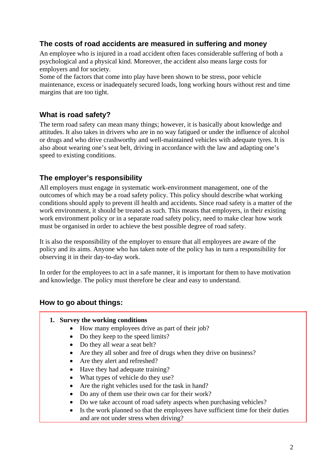# **The costs of road accidents are measured in suffering and money**

An employee who is injured in a road accident often faces considerable suffering of both a psychological and a physical kind. Moreover, the accident also means large costs for employers and for society.

Some of the factors that come into play have been shown to be stress, poor vehicle maintenance, excess or inadequately secured loads, long working hours without rest and time margins that are too tight.

# **What is road safety?**

The term road safety can mean many things; however, it is basically about knowledge and attitudes. It also takes in drivers who are in no way fatigued or under the influence of alcohol or drugs and who drive crashworthy and well-maintained vehicles with adequate tyres. It is also about wearing one's seat belt, driving in accordance with the law and adapting one's speed to existing conditions.

# **The employer's responsibility**

All employers must engage in systematic work-environment management, one of the outcomes of which may be a road safety policy. This policy should describe what working conditions should apply to prevent ill health and accidents. Since road safety is a matter of the work environment, it should be treated as such. This means that employers, in their existing work environment policy or in a separate road safety policy, need to make clear how work must be organised in order to achieve the best possible degree of road safety.

It is also the responsibility of the employer to ensure that all employees are aware of the policy and its aims. Anyone who has taken note of the policy has in turn a responsibility for observing it in their day-to-day work.

In order for the employees to act in a safe manner, it is important for them to have motivation and knowledge. The policy must therefore be clear and easy to understand.

## **How to go about things:**

- **1. Survey the working conditions** 
	- How many employees drive as part of their job?
	- Do they keep to the speed limits?
	- Do they all wear a seat belt?
	- Are they all sober and free of drugs when they drive on business?
	- Are they alert and refreshed?
	- Have they had adequate training?
	- What types of vehicle do they use?
	- Are the right vehicles used for the task in hand?
	- Do any of them use their own car for their work?
	- Do we take account of road safety aspects when purchasing vehicles?
	- Is the work planned so that the employees have sufficient time for their duties and are not under stress when driving?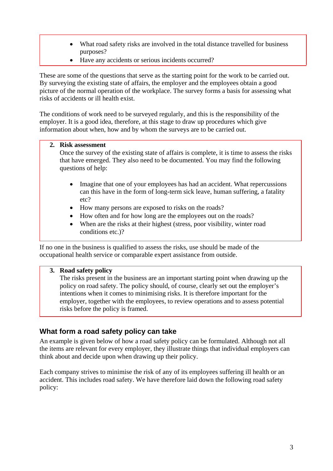- What road safety risks are involved in the total distance travelled for business purposes?
- Have any accidents or serious incidents occurred?

These are some of the questions that serve as the starting point for the work to be carried out. By surveying the existing state of affairs, the employer and the employees obtain a good picture of the normal operation of the workplace. The survey forms a basis for assessing what risks of accidents or ill health exist.

The conditions of work need to be surveyed regularly, and this is the responsibility of the employer. It is a good idea, therefore, at this stage to draw up procedures which give information about when, how and by whom the surveys are to be carried out.

#### **2. Risk assessment**

Once the survey of the existing state of affairs is complete, it is time to assess the risks that have emerged. They also need to be documented. You may find the following questions of help:

- Imagine that one of your employees has had an accident. What repercussions can this have in the form of long-term sick leave, human suffering, a fatality etc?
- How many persons are exposed to risks on the roads?
- How often and for how long are the employees out on the roads?
- When are the risks at their highest (stress, poor visibility, winter road conditions etc.)?

If no one in the business is qualified to assess the risks, use should be made of the occupational health service or comparable expert assistance from outside.

### **3. Road safety policy**

The risks present in the business are an important starting point when drawing up the policy on road safety. The policy should, of course, clearly set out the employer's intentions when it comes to minimising risks. It is therefore important for the employer, together with the employees, to review operations and to assess potential risks before the policy is framed.

## **What form a road safety policy can take**

An example is given below of how a road safety policy can be formulated. Although not all the items are relevant for every employer, they illustrate things that individual employers can think about and decide upon when drawing up their policy.

Each company strives to minimise the risk of any of its employees suffering ill health or an accident. This includes road safety. We have therefore laid down the following road safety policy: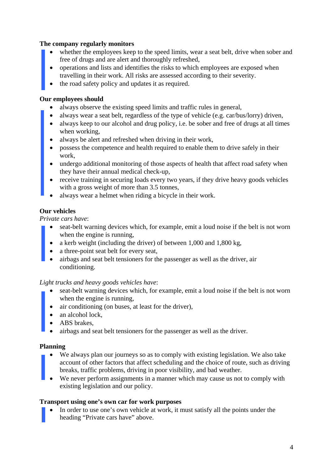## **The company regularly monitors**

- whether the employees keep to the speed limits, wear a seat belt, drive when sober and free of drugs and are alert and thoroughly refreshed,
- operations and lists and identifies the risks to which employees are exposed when travelling in their work. All risks are assessed according to their severity.
- the road safety policy and updates it as required.

### **Our employees should**

- always observe the existing speed limits and traffic rules in general,
- always wear a seat belt, regardless of the type of vehicle (e.g. car/bus/lorry) driven,
- always keep to our alcohol and drug policy, i.e. be sober and free of drugs at all times when working,
- always be alert and refreshed when driving in their work,
- possess the competence and health required to enable them to drive safely in their work,
- undergo additional monitoring of those aspects of health that affect road safety when they have their annual medical check-up,
- receive training in securing loads every two years, if they drive heavy goods vehicles with a gross weight of more than 3.5 tonnes,
- always wear a helmet when riding a bicycle in their work.

## **Our vehicles**

*Private cars have*:

- seat-belt warning devices which, for example, emit a loud noise if the belt is not worn when the engine is running,
- a kerb weight (including the driver) of between 1,000 and 1,800 kg,
- a three-point seat belt for every seat,
- airbags and seat belt tensioners for the passenger as well as the driver, air conditioning.

### *Light trucks and heavy goods vehicles have*:

- seat-belt warning devices which, for example, emit a loud noise if the belt is not worn when the engine is running,
- air conditioning (on buses, at least for the driver),
- an alcohol lock,
- ABS brakes.
- airbags and seat belt tensioners for the passenger as well as the driver.

### **Planning**

- We always plan our journeys so as to comply with existing legislation. We also take account of other factors that affect scheduling and the choice of route, such as driving breaks, traffic problems, driving in poor visibility, and bad weather.
- We never perform assignments in a manner which may cause us not to comply with existing legislation and our policy.

### **Transport using one's own car for work purposes**

In order to use one's own vehicle at work, it must satisfy all the points under the heading "Private cars have" above.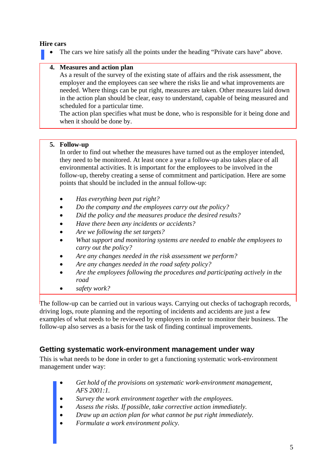## **Hire cars**

The cars we hire satisfy all the points under the heading "Private cars have" above.

## **4. Measures and action plan**

As a result of the survey of the existing state of affairs and the risk assessment, the employer and the employees can see where the risks lie and what improvements are needed. Where things can be put right, measures are taken. Other measures laid down in the action plan should be clear, easy to understand, capable of being measured and scheduled for a particular time.

The action plan specifies what must be done, who is responsible for it being done and when it should be done by.

#### **5. Follow-up**

In order to find out whether the measures have turned out as the employer intended, they need to be monitored. At least once a year a follow-up also takes place of all environmental activities. It is important for the employees to be involved in the follow-up, thereby creating a sense of commitment and participation. Here are some points that should be included in the annual follow-up:

- *Has everything been put right?*
- *Do the company and the employees carry out the policy?*
- *Did the policy and the measures produce the desired results?*
- *Have there been any incidents or accidents?*
- *Are we following the set targets?*
- *What support and monitoring systems are needed to enable the employees to carry out the policy?*
- *Are any changes needed in the risk assessment we perform?*
- *Are any changes needed in the road safety policy?*
- *Are the employees following the procedures and participating actively in the road*
- *safety work?*

The follow-up can be carried out in various ways. Carrying out checks of tachograph records, driving logs, route planning and the reporting of incidents and accidents are just a few examples of what needs to be reviewed by employers in order to monitor their business. The follow-up also serves as a basis for the task of finding continual improvements.

## **Getting systematic work-environment management under way**

This is what needs to be done in order to get a functioning systematic work-environment management under way:

- *Get hold of the provisions on systematic work-environment management, AFS 2001:1.*
- *Survey the work environment together with the employees.*
- *Assess the risks. If possible, take corrective action immediately.*
- *Draw up an action plan for what cannot be put right immediately.*
- *Formulate a work environment policy.*